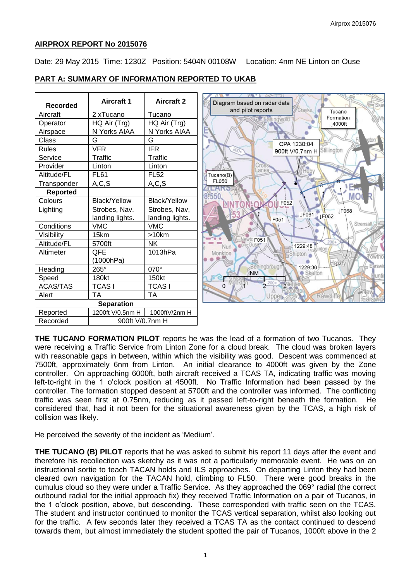## **AIRPROX REPORT No 2015076**

Date: 29 May 2015 Time: 1230Z Position: 5404N 00108W Location: 4nm NE Linton on Ouse

| <b>Recorded</b> | <b>Aircraft 1</b>   | <b>Aircraft 2</b>   |
|-----------------|---------------------|---------------------|
| Aircraft        | 2 xTucano           | Tucano              |
| Operator        | HQ Air (Trg)        | HQ Air (Trg)        |
| Airspace        | N Yorks AIAA        | N Yorks AIAA        |
| Class           | G                   | G                   |
| <b>Rules</b>    | <b>VFR</b>          | <b>IFR</b>          |
| Service         | Traffic             | Traffic             |
| Provider        | Linton              | Linton              |
| Altitude/FL     | <b>FL61</b>         | <b>FL52</b>         |
| Transponder     | A, C, S             | A, C, S             |
| <b>Reported</b> |                     |                     |
| Colours         | <b>Black/Yellow</b> | <b>Black/Yellow</b> |
| Lighting        | Strobes, Nav,       | Strobes, Nav,       |
|                 | landing lights.     | landing lights.     |
| Conditions      | <b>VMC</b>          | <b>VMC</b>          |
| Visibility      | 15km                | >10km               |
| Altitude/FL     | 5700ft              | <b>NK</b>           |
| Altimeter       | QFE                 | 1013hPa             |
|                 | (1000hPa)           |                     |
| Heading         | 265°                | 070°                |
| Speed           | 180kt               | 150kt               |
| <b>ACAS/TAS</b> | <b>TCASI</b>        | <b>TCASI</b>        |
| Alert           | TA                  | <b>TA</b>           |
|                 | <b>Separation</b>   |                     |
| Reported        | 1200ft V/0.5nm H    | 1000ftV/2nm H       |
| Recorded        | 900ft V/0.7nm H     |                     |

# **PART A: SUMMARY OF INFORMATION REPORTED TO UKAB**

**THE TUCANO FORMATION PILOT** reports he was the lead of a formation of two Tucanos. They were receiving a Traffic Service from Linton Zone for a cloud break. The cloud was broken layers with reasonable gaps in between, within which the visibility was good. Descent was commenced at 7500ft, approximately 6nm from Linton. An initial clearance to 4000ft was given by the Zone controller. On approaching 6000ft, both aircraft received a TCAS TA, indicating traffic was moving left-to-right in the 1 o'clock position at 4500ft. No Traffic Information had been passed by the controller. The formation stopped descent at 5700ft and the controller was informed. The conflicting traffic was seen first at 0.75nm, reducing as it passed left-to-right beneath the formation. He considered that, had it not been for the situational awareness given by the TCAS, a high risk of collision was likely.

He perceived the severity of the incident as 'Medium'.

**THE TUCANO (B) PILOT** reports that he was asked to submit his report 11 days after the event and therefore his recollection was sketchy as it was not a particularly memorable event. He was on an instructional sortie to teach TACAN holds and ILS approaches. On departing Linton they had been cleared own navigation for the TACAN hold, climbing to FL50. There were good breaks in the cumulus cloud so they were under a Traffic Service. As they approached the 069° radial (the correct outbound radial for the initial approach fix) they received Traffic Information on a pair of Tucanos, in the 1 o'clock position, above, but descending. These corresponded with traffic seen on the TCAS. The student and instructor continued to monitor the TCAS vertical separation, whilst also looking out for the traffic. A few seconds later they received a TCAS TA as the contact continued to descend towards them, but almost immediately the student spotted the pair of Tucanos, 1000ft above in the 2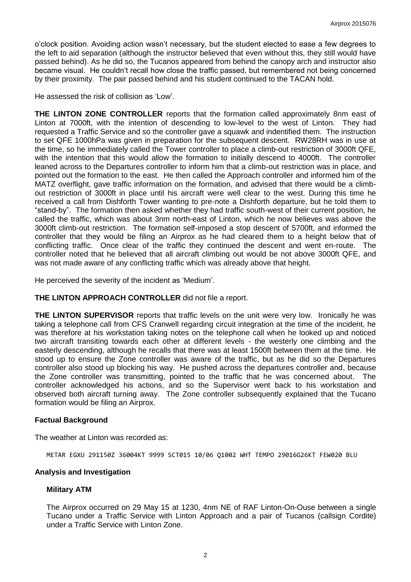o'clock position. Avoiding action wasn't necessary, but the student elected to ease a few degrees to the left to aid separation (although the instructor believed that even without this, they still would have passed behind). As he did so, the Tucanos appeared from behind the canopy arch and instructor also became visual. He couldn't recall how close the traffic passed, but remembered not being concerned by their proximity. The pair passed behind and his student continued to the TACAN hold.

He assessed the risk of collision as 'Low'.

**THE LINTON ZONE CONTROLLER** reports that the formation called approximately 8nm east of Linton at 7000ft, with the intention of descending to low-level to the west of Linton. They had requested a Traffic Service and so the controller gave a squawk and indentified them. The instruction to set QFE 1000hPa was given in preparation for the subsequent descent. RW28RH was in use at the time, so he immediately called the Tower controller to place a climb-out restriction of 3000ft QFE, with the intention that this would allow the formation to initially descend to 4000ft. The controller leaned across to the Departures controller to inform him that a climb-out restriction was in place, and pointed out the formation to the east. He then called the Approach controller and informed him of the MATZ overflight, gave traffic information on the formation, and advised that there would be a climbout restriction of 3000ft in place until his aircraft were well clear to the west. During this time he received a call from Dishforth Tower wanting to pre-note a Dishforth departure, but he told them to "stand-by". The formation then asked whether they had traffic south-west of their current position, he called the traffic, which was about 3nm north-east of Linton, which he now believes was above the 3000ft climb-out restriction. The formation self-imposed a stop descent of 5700ft, and informed the controller that they would be filing an Airprox as he had cleared them to a height below that of conflicting traffic. Once clear of the traffic they continued the descent and went en-route. The controller noted that he believed that all aircraft climbing out would be not above 3000ft QFE, and was not made aware of any conflicting traffic which was already above that height.

He perceived the severity of the incident as 'Medium'.

## **THE LINTON APPROACH CONTROLLER** did not file a report.

**THE LINTON SUPERVISOR** reports that traffic levels on the unit were very low. Ironically he was taking a telephone call from CFS Cranwell regarding circuit integration at the time of the incident, he was therefore at his workstation taking notes on the telephone call when he looked up and noticed two aircraft transiting towards each other at different levels - the westerly one climbing and the easterly descending, although he recalls that there was at least 1500ft between them at the time. He stood up to ensure the Zone controller was aware of the traffic, but as he did so the Departures controller also stood up blocking his way. He pushed across the departures controller and, because the Zone controller was transmitting, pointed to the traffic that he was concerned about. The controller acknowledged his actions, and so the Supervisor went back to his workstation and observed both aircraft turning away. The Zone controller subsequently explained that the Tucano formation would be filing an Airprox.

## **Factual Background**

The weather at Linton was recorded as:

METAR EGXU 291150Z 36004KT 9999 SCT015 10/06 Q1002 WHT TEMPO 29016G26KT FEW020 BLU

## **Analysis and Investigation**

## **Military ATM**

The Airprox occurred on 29 May 15 at 1230, 4nm NE of RAF Linton-On-Ouse between a single Tucano under a Traffic Service with Linton Approach and a pair of Tucanos (callsign Cordite) under a Traffic Service with Linton Zone.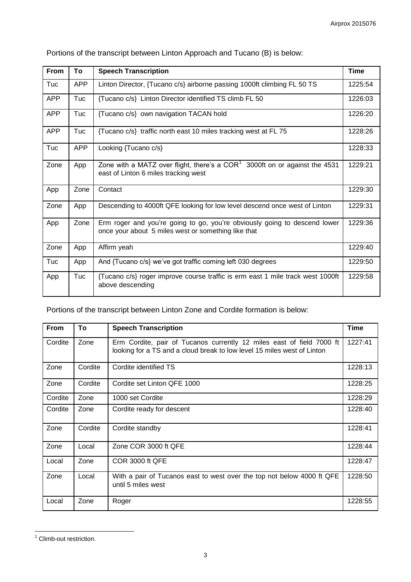| <b>From</b> | To         | <b>Speech Transcription</b>                                                                                                      | <b>Time</b> |
|-------------|------------|----------------------------------------------------------------------------------------------------------------------------------|-------------|
| Tuc         | <b>APP</b> | Linton Director, {Tucano c/s} airborne passing 1000ft climbing FL 50 TS                                                          |             |
| <b>APP</b>  | Tuc        | {Tucano c/s} Linton Director identified TS climb FL 50                                                                           |             |
| <b>APP</b>  | Tuc        | {Tucano c/s} own navigation TACAN hold                                                                                           |             |
| <b>APP</b>  | Tuc        | {Tucano c/s} traffic north east 10 miles tracking west at FL 75                                                                  |             |
| Tuc         | <b>APP</b> | Looking {Tucano c/s}                                                                                                             | 1228:33     |
| Zone        | App        | Zone with a MATZ over flight, there's a $COR1$ 3000ft on or against the 4531<br>east of Linton 6 miles tracking west             | 1229:21     |
| App         | Zone       | Contact                                                                                                                          | 1229:30     |
| Zone        | App        | Descending to 4000ft QFE looking for low level descend once west of Linton                                                       | 1229:31     |
| App         | Zone       | Erm roger and you're going to go, you're obviously going to descend lower<br>once your about 5 miles west or something like that | 1229:36     |
| Zone        | App        | Affirm yeah                                                                                                                      | 1229:40     |
| Tuc         | App        | And {Tucano c/s} we've got traffic coming left 030 degrees                                                                       |             |
| App         | Tuc        | {Tucano c/s} roger improve course traffic is erm east 1 mile track west 1000ft<br>above descending                               | 1229:58     |

Portions of the transcript between Linton Approach and Tucano (B) is below:

Portions of the transcript between Linton Zone and Cordite formation is below:

| From    | To      | <b>Speech Transcription</b>                                                                                                                      | <b>Time</b> |
|---------|---------|--------------------------------------------------------------------------------------------------------------------------------------------------|-------------|
| Cordite | Zone    | Erm Cordite, pair of Tucanos currently 12 miles east of field 7000 ft<br>looking for a TS and a cloud break to low level 15 miles west of Linton | 1227:41     |
| Zone    | Cordite | Cordite identified TS                                                                                                                            | 1228:13     |
| Zone    | Cordite | Cordite set Linton QFE 1000                                                                                                                      | 1228:25     |
| Cordite | Zone    | 1000 set Cordite                                                                                                                                 | 1228:29     |
| Cordite | Zone    | Cordite ready for descent                                                                                                                        | 1228:40     |
| Zone    | Cordite | Cordite standby                                                                                                                                  | 1228:41     |
| Zone    | Local   | Zone COR 3000 ft QFE                                                                                                                             | 1228:44     |
| Local   | Zone    | COR 3000 ft QFE                                                                                                                                  | 1228:47     |
| Zone    | Local   | With a pair of Tucanos east to west over the top not below 4000 ft QFE<br>until 5 miles west                                                     | 1228:50     |
| Local   | Zone    | Roger                                                                                                                                            | 1228:55     |

<sup>&</sup>lt;sup>1</sup> Climb-out restriction.

 $\overline{a}$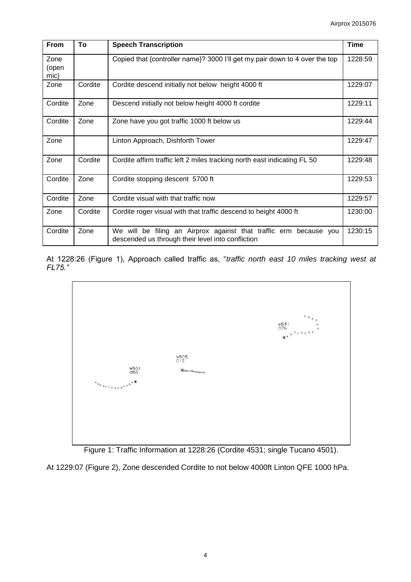| From                  | To      | <b>Speech Transcription</b>                                                                                               | <b>Time</b> |
|-----------------------|---------|---------------------------------------------------------------------------------------------------------------------------|-------------|
| Zone<br>(open<br>mic) |         | Copied that {controller name}? 3000 I'll get my pair down to 4 over the top                                               | 1228:59     |
| Zone                  | Cordite | Cordite descend initially not below height 4000 ft                                                                        | 1229:07     |
| Cordite               | Zone    | Descend initially not below height 4000 ft cordite                                                                        | 1229:11     |
| Cordite               | Zone    | Zone have you got traffic 1000 ft below us                                                                                | 1229:44     |
| Zone                  |         | Linton Approach, Dishforth Tower                                                                                          | 1229:47     |
| Zone                  | Cordite | Cordite affirm traffic left 2 miles tracking north east indicating FL 50                                                  | 1229:48     |
| Cordite               | Zone    | Cordite stopping descent 5700 ft                                                                                          | 1229:53     |
| Cordite               | Zone    | Cordite visual with that traffic now                                                                                      | 1229:57     |
| Zone                  | Cordite | Cordite roger visual with that traffic descend to height 4000 ft                                                          | 1230:00     |
| Cordite               | Zone    | We will be filing an Airprox against that traffic erm<br>because you<br>descended us through their level into confliction | 1230:15     |

At 1228:26 (Figure 1), Approach called traffic as, "*traffic north east 10 miles tracking west at FL75."*





At 1229:07 (Figure 2), Zone descended Cordite to not below 4000ft Linton QFE 1000 hPa.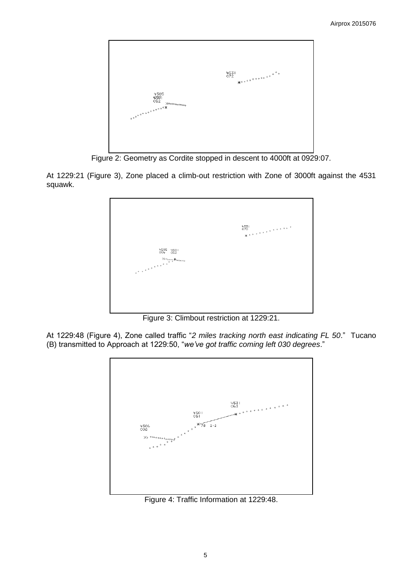

Figure 2: Geometry as Cordite stopped in descent to 4000ft at 0929:07.

At 1229:21 (Figure 3), Zone placed a climb-out restriction with Zone of 3000ft against the 4531 squawk.

|                               | $^{4531}_{070}$ |
|-------------------------------|-----------------|
| 4505<br>006<br>$^{+50}_{052}$ |                 |
|                               |                 |
|                               |                 |

Figure 3: Climbout restriction at 1229:21.

At 1229:48 (Figure 4), Zone called traffic "*2 miles tracking north east indicating FL 50*." Tucano (B) transmitted to Approach at 1229:50, "*we've got traffic coming left 030 degrees*."



Figure 4: Traffic Information at 1229:48.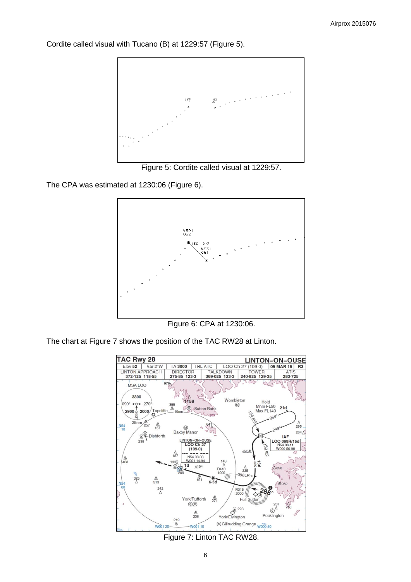Cordite called visual with Tucano (B) at 1229:57 (Figure 5).



Figure 5: Cordite called visual at 1229:57.

The CPA was estimated at 1230:06 (Figure 6).



Figure 6: CPA at 1230:06.

The chart at Figure 7 shows the position of the TAC RW28 at Linton.



Figure 7: Linton TAC RW28.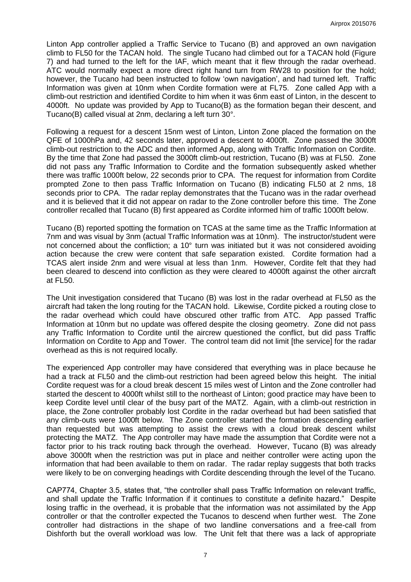Linton App controller applied a Traffic Service to Tucano (B) and approved an own navigation climb to FL50 for the TACAN hold. The single Tucano had climbed out for a TACAN hold (Figure 7) and had turned to the left for the IAF, which meant that it flew through the radar overhead. ATC would normally expect a more direct right hand turn from RW28 to position for the hold; however, the Tucano had been instructed to follow 'own navigation', and had turned left. Traffic Information was given at 10nm when Cordite formation were at FL75. Zone called App with a climb-out restriction and identified Cordite to him when it was 6nm east of Linton, in the descent to 4000ft. No update was provided by App to Tucano(B) as the formation began their descent, and Tucano(B) called visual at 2nm, declaring a left turn 30°.

Following a request for a descent 15nm west of Linton, Linton Zone placed the formation on the QFE of 1000hPa and, 42 seconds later, approved a descent to 4000ft. Zone passed the 3000ft climb-out restriction to the ADC and then informed App, along with Traffic Information on Cordite. By the time that Zone had passed the 3000ft climb-out restriction, Tucano (B) was at FL50. Zone did not pass any Traffic Information to Cordite and the formation subsequently asked whether there was traffic 1000ft below, 22 seconds prior to CPA. The request for information from Cordite prompted Zone to then pass Traffic Information on Tucano (B) indicating FL50 at 2 nms, 18 seconds prior to CPA. The radar replay demonstrates that the Tucano was in the radar overhead and it is believed that it did not appear on radar to the Zone controller before this time. The Zone controller recalled that Tucano (B) first appeared as Cordite informed him of traffic 1000ft below.

Tucano (B) reported spotting the formation on TCAS at the same time as the Traffic Information at 7nm and was visual by 3nm (actual Traffic Information was at 10nm). The instructor/student were not concerned about the confliction; a 10° turn was initiated but it was not considered avoiding action because the crew were content that safe separation existed. Cordite formation had a TCAS alert inside 2nm and were visual at less than 1nm. However, Cordite felt that they had been cleared to descend into confliction as they were cleared to 4000ft against the other aircraft at FL50.

The Unit investigation considered that Tucano (B) was lost in the radar overhead at FL50 as the aircraft had taken the long routing for the TACAN hold. Likewise, Cordite picked a routing close to the radar overhead which could have obscured other traffic from ATC. App passed Traffic Information at 10nm but no update was offered despite the closing geometry. Zone did not pass any Traffic Information to Cordite until the aircrew questioned the conflict, but did pass Traffic Information on Cordite to App and Tower. The control team did not limit [the service] for the radar overhead as this is not required locally.

The experienced App controller may have considered that everything was in place because he had a track at FL50 and the climb-out restriction had been agreed below this height. The initial Cordite request was for a cloud break descent 15 miles west of Linton and the Zone controller had started the descent to 4000ft whilst still to the northeast of Linton; good practice may have been to keep Cordite level until clear of the busy part of the MATZ. Again, with a climb-out restriction in place, the Zone controller probably lost Cordite in the radar overhead but had been satisfied that any climb-outs were 1000ft below. The Zone controller started the formation descending earlier than requested but was attempting to assist the crews with a cloud break descent whilst protecting the MATZ. The App controller may have made the assumption that Cordite were not a factor prior to his track routing back through the overhead. However, Tucano (B) was already above 3000ft when the restriction was put in place and neither controller were acting upon the information that had been available to them on radar. The radar replay suggests that both tracks were likely to be on converging headings with Cordite descending through the level of the Tucano.

CAP774, Chapter 3.5, states that, "the controller shall pass Traffic Information on relevant traffic, and shall update the Traffic Information if it continues to constitute a definite hazard." Despite losing traffic in the overhead, it is probable that the information was not assimilated by the App controller or that the controller expected the Tucanos to descend when further west. The Zone controller had distractions in the shape of two landline conversations and a free-call from Dishforth but the overall workload was low. The Unit felt that there was a lack of appropriate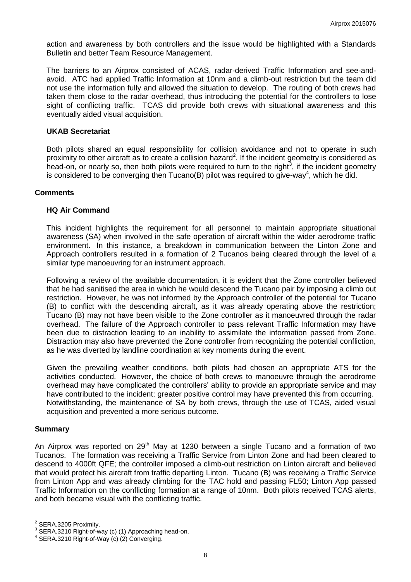action and awareness by both controllers and the issue would be highlighted with a Standards Bulletin and better Team Resource Management.

The barriers to an Airprox consisted of ACAS, radar-derived Traffic Information and see-andavoid. ATC had applied Traffic Information at 10nm and a climb-out restriction but the team did not use the information fully and allowed the situation to develop. The routing of both crews had taken them close to the radar overhead, thus introducing the potential for the controllers to lose sight of conflicting traffic. TCAS did provide both crews with situational awareness and this eventually aided visual acquisition.

## **UKAB Secretariat**

Both pilots shared an equal responsibility for collision avoidance and not to operate in such proximity to other aircraft as to create a collision hazard<sup>2</sup>. If the incident geometry is considered as head-on, or nearly so, then both pilots were required to turn to the right<sup>3</sup>, if the incident geometry is considered to be converging then Tucano(B) pilot was required to give-way<sup>4</sup>, which he did.

## **Comments**

## **HQ Air Command**

This incident highlights the requirement for all personnel to maintain appropriate situational awareness (SA) when involved in the safe operation of aircraft within the wider aerodrome traffic environment. In this instance, a breakdown in communication between the Linton Zone and Approach controllers resulted in a formation of 2 Tucanos being cleared through the level of a similar type manoeuvring for an instrument approach.

Following a review of the available documentation, it is evident that the Zone controller believed that he had sanitised the area in which he would descend the Tucano pair by imposing a climb out restriction. However, he was not informed by the Approach controller of the potential for Tucano (B) to conflict with the descending aircraft, as it was already operating above the restriction; Tucano (B) may not have been visible to the Zone controller as it manoeuvred through the radar overhead. The failure of the Approach controller to pass relevant Traffic Information may have been due to distraction leading to an inability to assimilate the information passed from Zone. Distraction may also have prevented the Zone controller from recognizing the potential confliction, as he was diverted by landline coordination at key moments during the event.

Given the prevailing weather conditions, both pilots had chosen an appropriate ATS for the activities conducted. However, the choice of both crews to manoeuvre through the aerodrome overhead may have complicated the controllers' ability to provide an appropriate service and may have contributed to the incident; greater positive control may have prevented this from occurring. Notwithstanding, the maintenance of SA by both crews, through the use of TCAS, aided visual acquisition and prevented a more serious outcome.

## **Summary**

An Airprox was reported on  $29<sup>th</sup>$  May at 1230 between a single Tucano and a formation of two Tucanos. The formation was receiving a Traffic Service from Linton Zone and had been cleared to descend to 4000ft QFE; the controller imposed a climb-out restriction on Linton aircraft and believed that would protect his aircraft from traffic departing Linton. Tucano (B) was receiving a Traffic Service from Linton App and was already climbing for the TAC hold and passing FL50; Linton App passed Traffic Information on the conflicting formation at a range of 10nm. Both pilots received TCAS alerts, and both became visual with the conflicting traffic.

 2 SERA.3205 Proximity.

 $3$  SERA.3210 Right-of-way (c) (1) Approaching head-on.

<sup>4</sup> SERA.3210 Right-of-Way (c) (2) Converging.